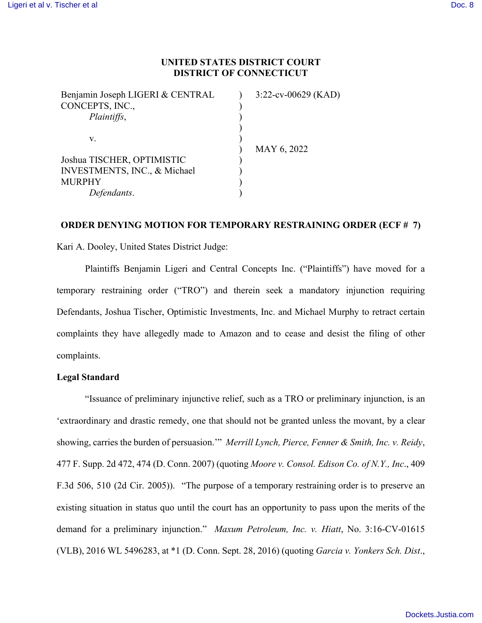## **UNITED STATES DISTRICT COURT DISTRICT OF CONNECTICUT**

| $3:22$ -cv-00629 (KAD) |
|------------------------|
|                        |
|                        |
|                        |
|                        |
| MAY 6, 2022            |
|                        |
|                        |
|                        |
|                        |
|                        |

## **ORDER DENYING MOTION FOR TEMPORARY RESTRAINING ORDER (ECF # 7)**

Kari A. Dooley, United States District Judge:

Plaintiffs Benjamin Ligeri and Central Concepts Inc. ("Plaintiffs") have moved for a temporary restraining order ("TRO") and therein seek a mandatory injunction requiring Defendants, Joshua Tischer, Optimistic Investments, Inc. and Michael Murphy to retract certain complaints they have allegedly made to Amazon and to cease and desist the filing of other complaints.

### **Legal Standard**

"Issuance of preliminary injunctive relief, such as a TRO or preliminary injunction, is an 'extraordinary and drastic remedy, one that should not be granted unless the movant, by a clear showing, carries the burden of persuasion.'" *Merrill Lynch, Pierce, Fenner & Smith, Inc. v. Reidy*, 477 F. Supp. 2d 472, 474 (D. Conn. 2007) (quoting *Moore v. Consol. Edison Co. of N.Y., Inc*., 409 F.3d 506, 510 (2d Cir. 2005)). "The purpose of a temporary restraining order is to preserve an existing situation in status quo until the court has an opportunity to pass upon the merits of the demand for a preliminary injunction." *Maxum Petroleum, Inc. v. Hiatt*, No. 3:16-CV-01615 (VLB), 2016 WL 5496283, at \*1 (D. Conn. Sept. 28, 2016) (quoting *Garcia v. Yonkers Sch. Dist*.,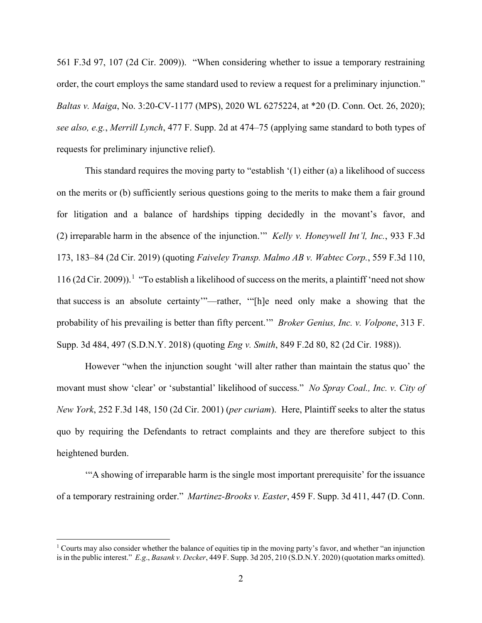561 F.3d 97, 107 (2d Cir. 2009)). "When considering whether to issue a temporary restraining order, the court employs the same standard used to review a request for a preliminary injunction." *Baltas v. Maiga*, No. 3:20-CV-1177 (MPS), 2020 WL 6275224, at \*20 (D. Conn. Oct. 26, 2020); *see also, e.g.*, *Merrill Lynch*, 477 F. Supp. 2d at 474–75 (applying same standard to both types of requests for preliminary injunctive relief).

This standard requires the moving party to "establish '(1) either (a) a likelihood of success on the merits or (b) sufficiently serious questions going to the merits to make them a fair ground for litigation and a balance of hardships tipping decidedly in the movant's favor, and (2) irreparable harm in the absence of the injunction.'" *Kelly v. Honeywell Int'l, Inc.*, 933 F.3d 173, 183–84 (2d Cir. 2019) (quoting *Faiveley Transp. Malmo AB v. Wabtec Corp.*, 559 F.3d 110, [1](#page-1-0)16 (2d Cir. 2009)).<sup>1</sup> "To establish a likelihood of success on the merits, a plaintiff 'need not show that success is an absolute certainty'"—rather, '"[h]e need only make a showing that the probability of his prevailing is better than fifty percent.'" *Broker Genius, Inc. v. Volpone*, 313 F. Supp. 3d 484, 497 (S.D.N.Y. 2018) (quoting *Eng v. Smith*, 849 F.2d 80, 82 (2d Cir. 1988)).

However "when the injunction sought 'will alter rather than maintain the status quo' the movant must show 'clear' or 'substantial' likelihood of success." *No Spray Coal., Inc. v. City of New York*, 252 F.3d 148, 150 (2d Cir. 2001) (*per curiam*). Here, Plaintiff seeks to alter the status quo by requiring the Defendants to retract complaints and they are therefore subject to this heightened burden.

'"A showing of irreparable harm is the single most important prerequisite' for the issuance of a temporary restraining order." *Martinez-Brooks v. Easter*, 459 F. Supp. 3d 411, 447 (D. Conn.

<span id="page-1-0"></span><sup>&</sup>lt;sup>1</sup> Courts may also consider whether the balance of equities tip in the moving party's favor, and whether "an injunction" is in the public interest." *E.g*., *Basank v. Decker*, 449 F. Supp. 3d 205, 210 (S.D.N.Y. 2020) (quotation marks omitted).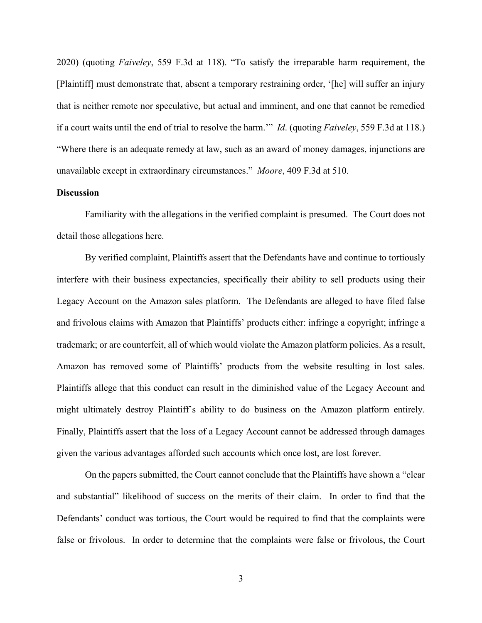2020) (quoting *Faiveley*, 559 F.3d at 118). "To satisfy the irreparable harm requirement, the [Plaintiff] must demonstrate that, absent a temporary restraining order, '[he] will suffer an injury that is neither remote nor speculative, but actual and imminent, and one that cannot be remedied if a court waits until the end of trial to resolve the harm.'" *Id*. (quoting *Faiveley*, 559 F.3d at 118.) "Where there is an adequate remedy at law, such as an award of money damages, injunctions are unavailable except in extraordinary circumstances." *Moore*, 409 F.3d at 510.

## **Discussion**

Familiarity with the allegations in the verified complaint is presumed. The Court does not detail those allegations here.

By verified complaint, Plaintiffs assert that the Defendants have and continue to tortiously interfere with their business expectancies, specifically their ability to sell products using their Legacy Account on the Amazon sales platform. The Defendants are alleged to have filed false and frivolous claims with Amazon that Plaintiffs' products either: infringe a copyright; infringe a trademark; or are counterfeit, all of which would violate the Amazon platform policies. As a result, Amazon has removed some of Plaintiffs' products from the website resulting in lost sales. Plaintiffs allege that this conduct can result in the diminished value of the Legacy Account and might ultimately destroy Plaintiff's ability to do business on the Amazon platform entirely. Finally, Plaintiffs assert that the loss of a Legacy Account cannot be addressed through damages given the various advantages afforded such accounts which once lost, are lost forever.

On the papers submitted, the Court cannot conclude that the Plaintiffs have shown a "clear and substantial" likelihood of success on the merits of their claim. In order to find that the Defendants' conduct was tortious, the Court would be required to find that the complaints were false or frivolous. In order to determine that the complaints were false or frivolous, the Court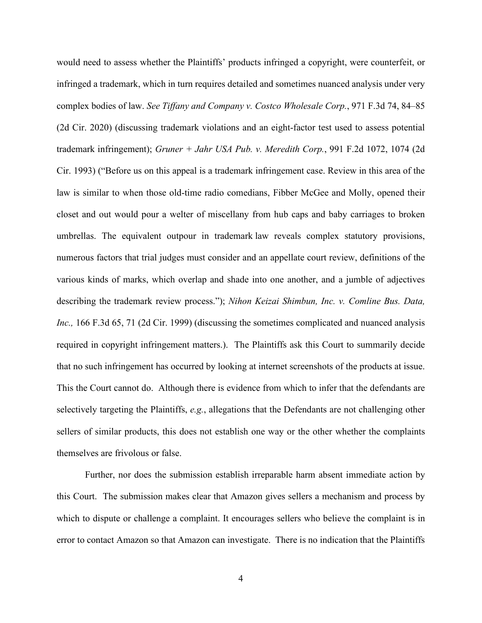would need to assess whether the Plaintiffs' products infringed a copyright, were counterfeit, or infringed a trademark, which in turn requires detailed and sometimes nuanced analysis under very complex bodies of law. *See Tiffany and Company v. Costco Wholesale Corp.*, 971 F.3d 74, 84–85 (2d Cir. 2020) (discussing trademark violations and an eight-factor test used to assess potential trademark infringement); *Gruner + Jahr USA Pub. v. Meredith Corp.*, 991 F.2d 1072, 1074 (2d Cir. 1993) ("Before us on this appeal is a trademark infringement case. Review in this area of the law is similar to when those old-time radio comedians, Fibber McGee and Molly, opened their closet and out would pour a welter of miscellany from hub caps and baby carriages to broken umbrellas. The equivalent outpour in trademark law reveals complex statutory provisions, numerous factors that trial judges must consider and an appellate court review, definitions of the various kinds of marks, which overlap and shade into one another, and a jumble of adjectives describing the trademark review process."); *Nihon Keizai Shimbun, Inc. v. Comline Bus. Data, Inc.,* 166 F.3d 65, 71 (2d Cir. 1999) (discussing the sometimes complicated and nuanced analysis required in copyright infringement matters.). The Plaintiffs ask this Court to summarily decide that no such infringement has occurred by looking at internet screenshots of the products at issue. This the Court cannot do. Although there is evidence from which to infer that the defendants are selectively targeting the Plaintiffs, *e.g.*, allegations that the Defendants are not challenging other sellers of similar products, this does not establish one way or the other whether the complaints themselves are frivolous or false.

Further, nor does the submission establish irreparable harm absent immediate action by this Court. The submission makes clear that Amazon gives sellers a mechanism and process by which to dispute or challenge a complaint. It encourages sellers who believe the complaint is in error to contact Amazon so that Amazon can investigate. There is no indication that the Plaintiffs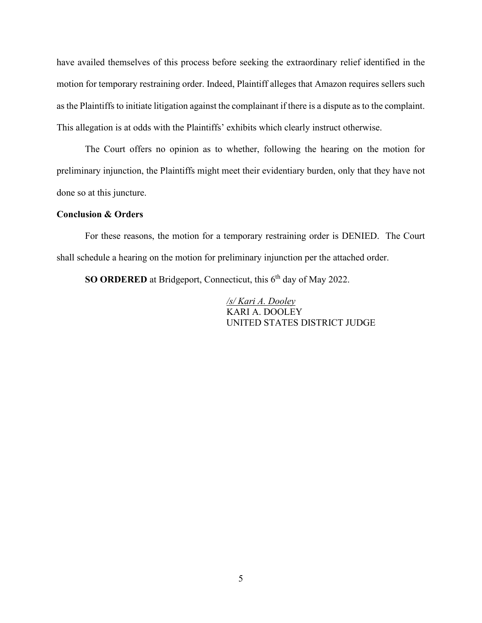have availed themselves of this process before seeking the extraordinary relief identified in the motion for temporary restraining order. Indeed, Plaintiff alleges that Amazon requires sellers such as the Plaintiffs to initiate litigation against the complainant if there is a dispute as to the complaint. This allegation is at odds with the Plaintiffs' exhibits which clearly instruct otherwise.

The Court offers no opinion as to whether, following the hearing on the motion for preliminary injunction, the Plaintiffs might meet their evidentiary burden, only that they have not done so at this juncture.

### **Conclusion & Orders**

For these reasons, the motion for a temporary restraining order is DENIED. The Court shall schedule a hearing on the motion for preliminary injunction per the attached order.

**SO ORDERED** at Bridgeport, Connecticut, this 6<sup>th</sup> day of May 2022.

 */s/ Kari A. Dooley* KARI A. DOOLEY UNITED STATES DISTRICT JUDGE